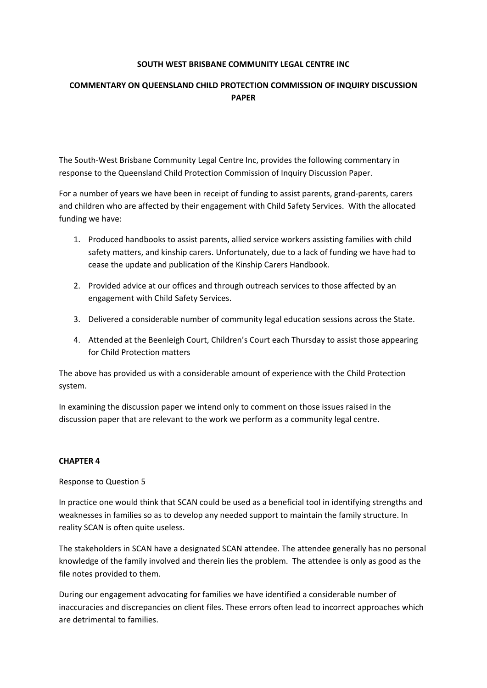### **SOUTH WEST BRISBANE COMMUNITY LEGAL CENTRE INC**

# **COMMENTARY ON QUEENSLAND CHILD PROTECTION COMMISSION OF INQUIRY DISCUSSION PAPER**

The South‐West Brisbane Community Legal Centre Inc, provides the following commentary in response to the Queensland Child Protection Commission of Inquiry Discussion Paper.

For a number of years we have been in receipt of funding to assist parents, grand‐parents, carers and children who are affected by their engagement with Child Safety Services. With the allocated funding we have:

- 1. Produced handbooks to assist parents, allied service workers assisting families with child safety matters, and kinship carers. Unfortunately, due to a lack of funding we have had to cease the update and publication of the Kinship Carers Handbook.
- 2. Provided advice at our offices and through outreach services to those affected by an engagement with Child Safety Services.
- 3. Delivered a considerable number of community legal education sessions across the State.
- 4. Attended at the Beenleigh Court, Children's Court each Thursday to assist those appearing for Child Protection matters

The above has provided us with a considerable amount of experience with the Child Protection system.

In examining the discussion paper we intend only to comment on those issues raised in the discussion paper that are relevant to the work we perform as a community legal centre.

## **CHAPTER 4**

#### Response to Question 5

In practice one would think that SCAN could be used as a beneficial tool in identifying strengths and weaknesses in families so as to develop any needed support to maintain the family structure. In reality SCAN is often quite useless.

The stakeholders in SCAN have a designated SCAN attendee. The attendee generally has no personal knowledge of the family involved and therein lies the problem. The attendee is only as good as the file notes provided to them.

During our engagement advocating for families we have identified a considerable number of inaccuracies and discrepancies on client files. These errors often lead to incorrect approaches which are detrimental to families.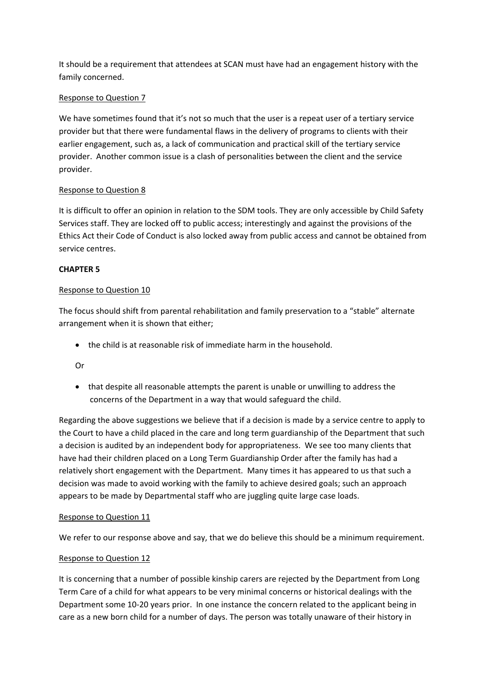It should be a requirement that attendees at SCAN must have had an engagement history with the family concerned.

## Response to Question 7

We have sometimes found that it's not so much that the user is a repeat user of a tertiary service provider but that there were fundamental flaws in the delivery of programs to clients with their earlier engagement, such as, a lack of communication and practical skill of the tertiary service provider. Another common issue is a clash of personalities between the client and the service provider.

# Response to Question 8

It is difficult to offer an opinion in relation to the SDM tools. They are only accessible by Child Safety Services staff. They are locked off to public access; interestingly and against the provisions of the Ethics Act their Code of Conduct is also locked away from public access and cannot be obtained from service centres.

# **CHAPTER 5**

## Response to Question 10

The focus should shift from parental rehabilitation and family preservation to a "stable" alternate arrangement when it is shown that either;

the child is at reasonable risk of immediate harm in the household.

## Or

• that despite all reasonable attempts the parent is unable or unwilling to address the concerns of the Department in a way that would safeguard the child.

Regarding the above suggestions we believe that if a decision is made by a service centre to apply to the Court to have a child placed in the care and long term guardianship of the Department that such a decision is audited by an independent body for appropriateness. We see too many clients that have had their children placed on a Long Term Guardianship Order after the family has had a relatively short engagement with the Department. Many times it has appeared to us that such a decision was made to avoid working with the family to achieve desired goals; such an approach appears to be made by Departmental staff who are juggling quite large case loads.

## Response to Question 11

We refer to our response above and say, that we do believe this should be a minimum requirement.

## Response to Question 12

It is concerning that a number of possible kinship carers are rejected by the Department from Long Term Care of a child for what appears to be very minimal concerns or historical dealings with the Department some 10‐20 years prior. In one instance the concern related to the applicant being in care as a new born child for a number of days. The person was totally unaware of their history in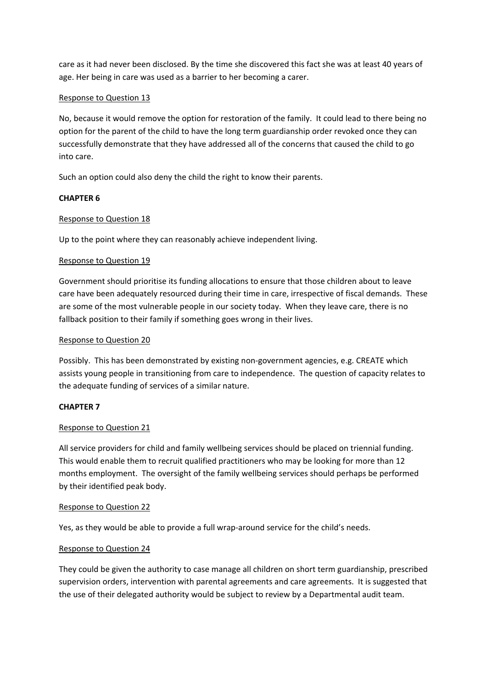care as it had never been disclosed. By the time she discovered this fact she was at least 40 years of age. Her being in care was used as a barrier to her becoming a carer.

### Response to Question 13

No, because it would remove the option for restoration of the family. It could lead to there being no option for the parent of the child to have the long term guardianship order revoked once they can successfully demonstrate that they have addressed all of the concerns that caused the child to go into care.

Such an option could also deny the child the right to know their parents.

## **CHAPTER 6**

### Response to Question 18

Up to the point where they can reasonably achieve independent living.

#### Response to Question 19

Government should prioritise its funding allocations to ensure that those children about to leave care have been adequately resourced during their time in care, irrespective of fiscal demands. These are some of the most vulnerable people in our society today. When they leave care, there is no fallback position to their family if something goes wrong in their lives.

### Response to Question 20

Possibly. This has been demonstrated by existing non-government agencies, e.g. CREATE which assists young people in transitioning from care to independence. The question of capacity relates to the adequate funding of services of a similar nature.

## **CHAPTER 7**

#### Response to Question 21

All service providers for child and family wellbeing services should be placed on triennial funding. This would enable them to recruit qualified practitioners who may be looking for more than 12 months employment. The oversight of the family wellbeing services should perhaps be performed by their identified peak body.

#### Response to Question 22

Yes, as they would be able to provide a full wrap-around service for the child's needs.

#### Response to Question 24

They could be given the authority to case manage all children on short term guardianship, prescribed supervision orders, intervention with parental agreements and care agreements. It is suggested that the use of their delegated authority would be subject to review by a Departmental audit team.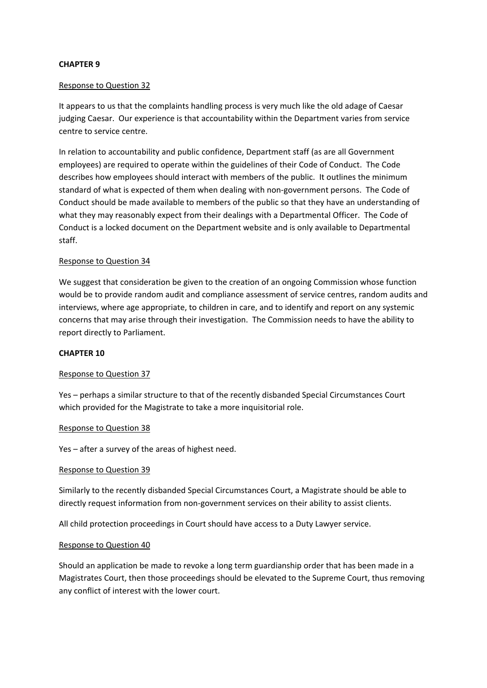### **CHAPTER 9**

#### Response to Question 32

It appears to us that the complaints handling process is very much like the old adage of Caesar judging Caesar. Our experience is that accountability within the Department varies from service centre to service centre.

In relation to accountability and public confidence, Department staff (as are all Government employees) are required to operate within the guidelines of their Code of Conduct. The Code describes how employees should interact with members of the public. It outlines the minimum standard of what is expected of them when dealing with non‐government persons. The Code of Conduct should be made available to members of the public so that they have an understanding of what they may reasonably expect from their dealings with a Departmental Officer. The Code of Conduct is a locked document on the Department website and is only available to Departmental staff.

#### Response to Question 34

We suggest that consideration be given to the creation of an ongoing Commission whose function would be to provide random audit and compliance assessment of service centres, random audits and interviews, where age appropriate, to children in care, and to identify and report on any systemic concerns that may arise through their investigation. The Commission needs to have the ability to report directly to Parliament.

#### **CHAPTER 10**

#### Response to Question 37

Yes – perhaps a similar structure to that of the recently disbanded Special Circumstances Court which provided for the Magistrate to take a more inquisitorial role.

#### Response to Question 38

Yes – after a survey of the areas of highest need.

#### Response to Question 39

Similarly to the recently disbanded Special Circumstances Court, a Magistrate should be able to directly request information from non‐government services on their ability to assist clients.

All child protection proceedings in Court should have access to a Duty Lawyer service.

#### Response to Question 40

Should an application be made to revoke a long term guardianship order that has been made in a Magistrates Court, then those proceedings should be elevated to the Supreme Court, thus removing any conflict of interest with the lower court.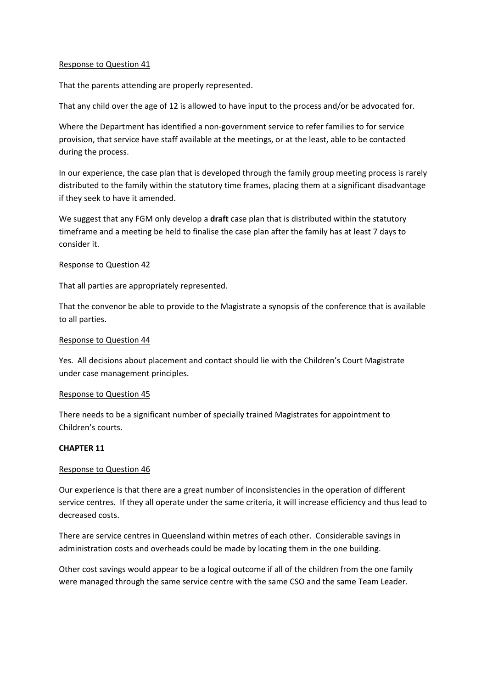#### Response to Question 41

That the parents attending are properly represented.

That any child over the age of 12 is allowed to have input to the process and/or be advocated for.

Where the Department has identified a non-government service to refer families to for service provision, that service have staff available at the meetings, or at the least, able to be contacted during the process.

In our experience, the case plan that is developed through the family group meeting process is rarely distributed to the family within the statutory time frames, placing them at a significant disadvantage if they seek to have it amended.

We suggest that any FGM only develop a **draft** case plan that is distributed within the statutory timeframe and a meeting be held to finalise the case plan after the family has at least 7 days to consider it.

#### Response to Question 42

That all parties are appropriately represented.

That the convenor be able to provide to the Magistrate a synopsis of the conference that is available to all parties.

### Response to Question 44

Yes. All decisions about placement and contact should lie with the Children's Court Magistrate under case management principles.

#### Response to Question 45

There needs to be a significant number of specially trained Magistrates for appointment to Children's courts.

#### **CHAPTER 11**

## Response to Question 46

Our experience is that there are a great number of inconsistencies in the operation of different service centres. If they all operate under the same criteria, it will increase efficiency and thus lead to decreased costs.

There are service centres in Queensland within metres of each other. Considerable savings in administration costs and overheads could be made by locating them in the one building.

Other cost savings would appear to be a logical outcome if all of the children from the one family were managed through the same service centre with the same CSO and the same Team Leader.